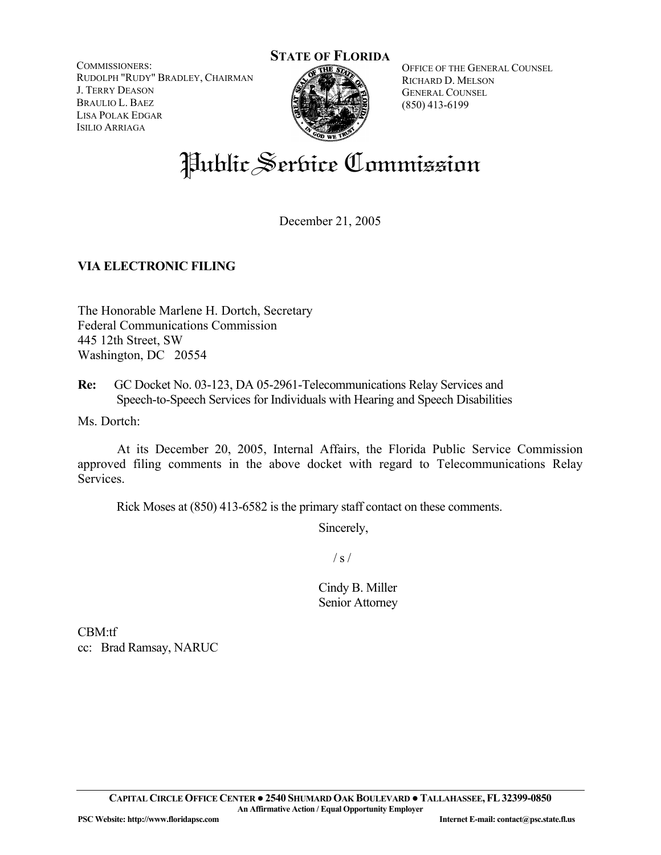COMMISSIONERS: RUDOLPH "RUDY" BRADLEY, CHAIRMAN J. TERRY DEASON BRAULIO L. BAEZ LISA POLAK EDGAR ISILIO ARRIAGA



OFFICE OF THE GENERAL COUNSEL RICHARD D. MELSON GENERAL COUNSEL (850) 413-6199

# Public Service Commission

December 21, 2005

# **VIA ELECTRONIC FILING**

The Honorable Marlene H. Dortch, Secretary Federal Communications Commission 445 12th Street, SW Washington, DC 20554

**Re:** GC Docket No. 03-123, DA 05-2961-Telecommunications Relay Services and Speech-to-Speech Services for Individuals with Hearing and Speech Disabilities

Ms. Dortch:

 At its December 20, 2005, Internal Affairs, the Florida Public Service Commission approved filing comments in the above docket with regard to Telecommunications Relay Services.

Rick Moses at (850) 413-6582 is the primary staff contact on these comments.

Sincerely,

 $/ s /$ 

Cindy B. Miller Senior Attorney

CBM:tf cc: Brad Ramsay, NARUC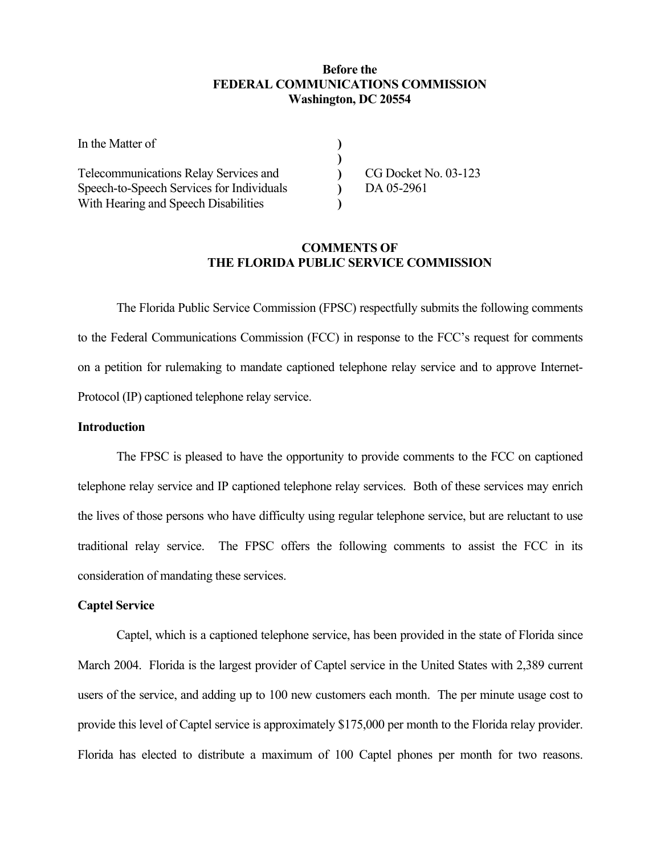## **Before the FEDERAL COMMUNICATIONS COMMISSION Washington, DC 20554**

| In the Matter of                          |                      |
|-------------------------------------------|----------------------|
|                                           |                      |
| Telecommunications Relay Services and     | CG Docket No. 03-123 |
| Speech-to-Speech Services for Individuals | DA 05-2961           |
| With Hearing and Speech Disabilities      |                      |

## **COMMENTS OF THE FLORIDA PUBLIC SERVICE COMMISSION**

The Florida Public Service Commission (FPSC) respectfully submits the following comments to the Federal Communications Commission (FCC) in response to the FCC's request for comments on a petition for rulemaking to mandate captioned telephone relay service and to approve Internet-Protocol (IP) captioned telephone relay service.

#### **Introduction**

The FPSC is pleased to have the opportunity to provide comments to the FCC on captioned telephone relay service and IP captioned telephone relay services. Both of these services may enrich the lives of those persons who have difficulty using regular telephone service, but are reluctant to use traditional relay service. The FPSC offers the following comments to assist the FCC in its consideration of mandating these services.

# **Captel Service**

Captel, which is a captioned telephone service, has been provided in the state of Florida since March 2004. Florida is the largest provider of Captel service in the United States with 2,389 current users of the service, and adding up to 100 new customers each month. The per minute usage cost to provide this level of Captel service is approximately \$175,000 per month to the Florida relay provider. Florida has elected to distribute a maximum of 100 Captel phones per month for two reasons.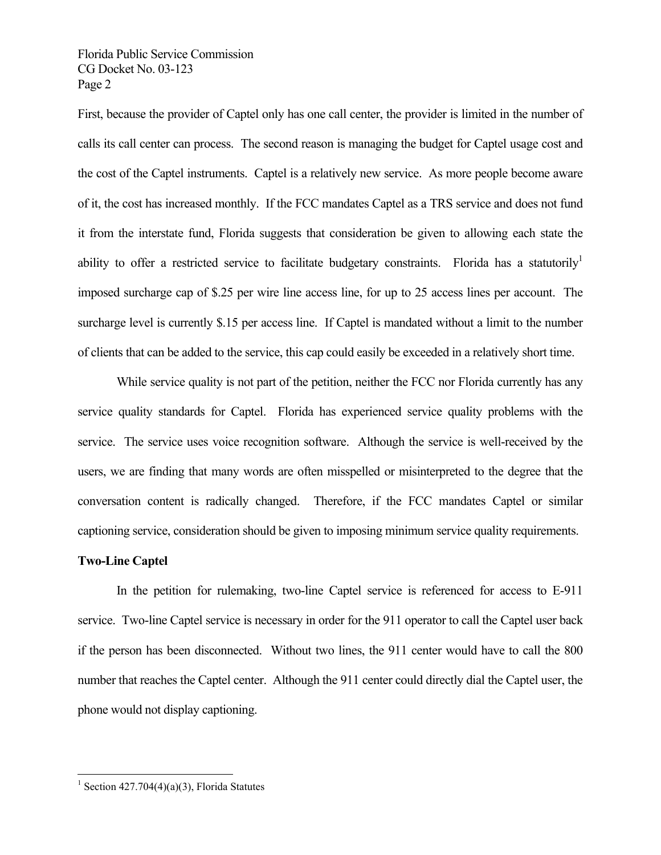Florida Public Service Commission CG Docket No. 03-123 Page 2

First, because the provider of Captel only has one call center, the provider is limited in the number of calls its call center can process. The second reason is managing the budget for Captel usage cost and the cost of the Captel instruments. Captel is a relatively new service. As more people become aware of it, the cost has increased monthly. If the FCC mandates Captel as a TRS service and does not fund it from the interstate fund, Florida suggests that consideration be given to allowing each state the ability to offer a restricted service to facilitate budgetary constraints. Florida has a statutorily imposed surcharge cap of \$.25 per wire line access line, for up to 25 access lines per account. The surcharge level is currently \$.15 per access line. If Captel is mandated without a limit to the number of clients that can be added to the service, this cap could easily be exceeded in a relatively short time.

While service quality is not part of the petition, neither the FCC nor Florida currently has any service quality standards for Captel. Florida has experienced service quality problems with the service. The service uses voice recognition software. Although the service is well-received by the users, we are finding that many words are often misspelled or misinterpreted to the degree that the conversation content is radically changed. Therefore, if the FCC mandates Captel or similar captioning service, consideration should be given to imposing minimum service quality requirements.

#### **Two-Line Captel**

1

In the petition for rulemaking, two-line Captel service is referenced for access to E-911 service. Two-line Captel service is necessary in order for the 911 operator to call the Captel user back if the person has been disconnected. Without two lines, the 911 center would have to call the 800 number that reaches the Captel center. Although the 911 center could directly dial the Captel user, the phone would not display captioning.

<sup>&</sup>lt;sup>1</sup> Section 427.704(4)(a)(3), Florida Statutes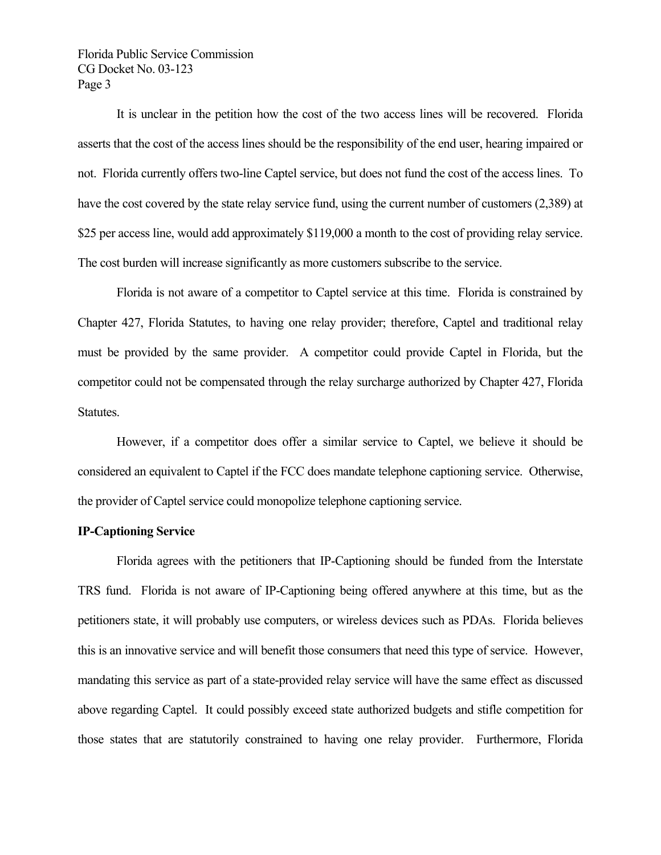Florida Public Service Commission CG Docket No. 03-123 Page 3

It is unclear in the petition how the cost of the two access lines will be recovered. Florida asserts that the cost of the access lines should be the responsibility of the end user, hearing impaired or not. Florida currently offers two-line Captel service, but does not fund the cost of the access lines. To have the cost covered by the state relay service fund, using the current number of customers (2,389) at \$25 per access line, would add approximately \$119,000 a month to the cost of providing relay service. The cost burden will increase significantly as more customers subscribe to the service.

Florida is not aware of a competitor to Captel service at this time. Florida is constrained by Chapter 427, Florida Statutes, to having one relay provider; therefore, Captel and traditional relay must be provided by the same provider. A competitor could provide Captel in Florida, but the competitor could not be compensated through the relay surcharge authorized by Chapter 427, Florida Statutes.

However, if a competitor does offer a similar service to Captel, we believe it should be considered an equivalent to Captel if the FCC does mandate telephone captioning service. Otherwise, the provider of Captel service could monopolize telephone captioning service.

#### **IP-Captioning Service**

Florida agrees with the petitioners that IP-Captioning should be funded from the Interstate TRS fund. Florida is not aware of IP-Captioning being offered anywhere at this time, but as the petitioners state, it will probably use computers, or wireless devices such as PDAs. Florida believes this is an innovative service and will benefit those consumers that need this type of service. However, mandating this service as part of a state-provided relay service will have the same effect as discussed above regarding Captel. It could possibly exceed state authorized budgets and stifle competition for those states that are statutorily constrained to having one relay provider. Furthermore, Florida